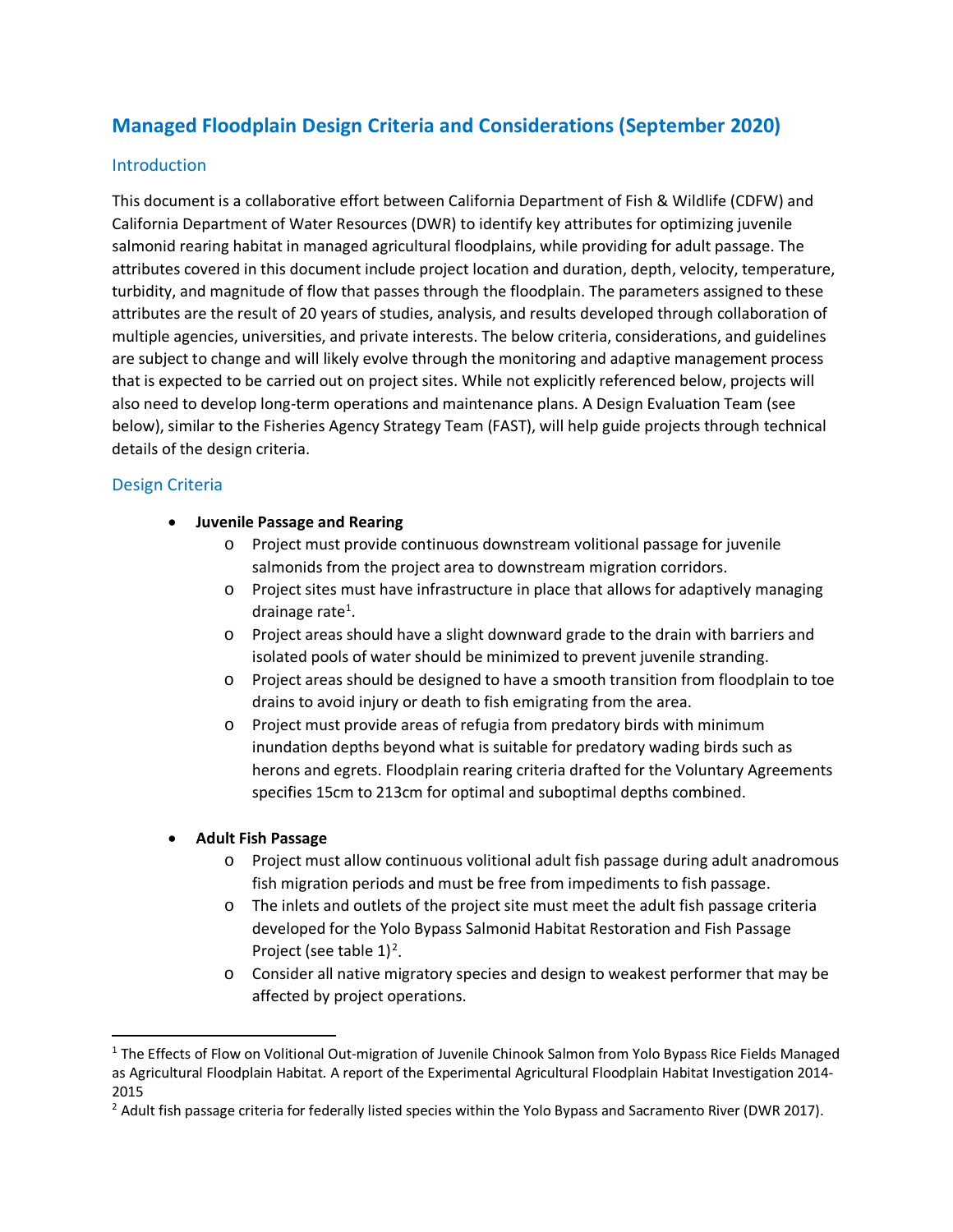# **Managed Floodplain Design Criteria and Considerations (September 2020)**

# Introduction

This document is a collaborative effort between California Department of Fish & Wildlife (CDFW) and California Department of Water Resources (DWR) to identify key attributes for optimizing juvenile salmonid rearing habitat in managed agricultural floodplains, while providing for adult passage. The attributes covered in this document include project location and duration, depth, velocity, temperature, turbidity, and magnitude of flow that passes through the floodplain. The parameters assigned to these attributes are the result of 20 years of studies, analysis, and results developed through collaboration of multiple agencies, universities, and private interests. The below criteria, considerations, and guidelines are subject to change and will likely evolve through the monitoring and adaptive management process that is expected to be carried out on project sites. While not explicitly referenced below, projects will also need to develop long-term operations and maintenance plans. A Design Evaluation Team (see below), similar to the Fisheries Agency Strategy Team (FAST), will help guide projects through technical details of the design criteria.

# Design Criteria

## • **Juvenile Passage and Rearing**

- o Project must provide continuous downstream volitional passage for juvenile salmonids from the project area to downstream migration corridors.
- o Project sites must have infrastructure in place that allows for adaptively managing drainage rate<sup>[1](#page-0-0)</sup>.
- $\circ$  Project areas should have a slight downward grade to the drain with barriers and isolated pools of water should be minimized to prevent juvenile stranding.
- o Project areas should be designed to have a smooth transition from floodplain to toe drains to avoid injury or death to fish emigrating from the area.
- o Project must provide areas of refugia from predatory birds with minimum inundation depths beyond what is suitable for predatory wading birds such as herons and egrets. Floodplain rearing criteria drafted for the Voluntary Agreements specifies 15cm to 213cm for optimal and suboptimal depths combined.

# • **Adult Fish Passage**

- o Project must allow continuous volitional adult fish passage during adult anadromous fish migration periods and must be free from impediments to fish passage.
- $\circ$  The inlets and outlets of the project site must meet the adult fish passage criteria developed for the Yolo Bypass Salmonid Habitat Restoration and Fish Passage Project (see table  $1$ )<sup>[2](#page-0-1)</sup>.
- o Consider all native migratory species and design to weakest performer that may be affected by project operations.

<span id="page-0-0"></span><sup>&</sup>lt;sup>1</sup> The Effects of Flow on Volitional Out-migration of Juvenile Chinook Salmon from Yolo Bypass Rice Fields Managed as Agricultural Floodplain Habitat. A report of the Experimental Agricultural Floodplain Habitat Investigation 2014- 2015

<span id="page-0-1"></span> $<sup>2</sup>$  Adult fish passage criteria for federally listed species within the Yolo Bypass and Sacramento River (DWR 2017).</sup>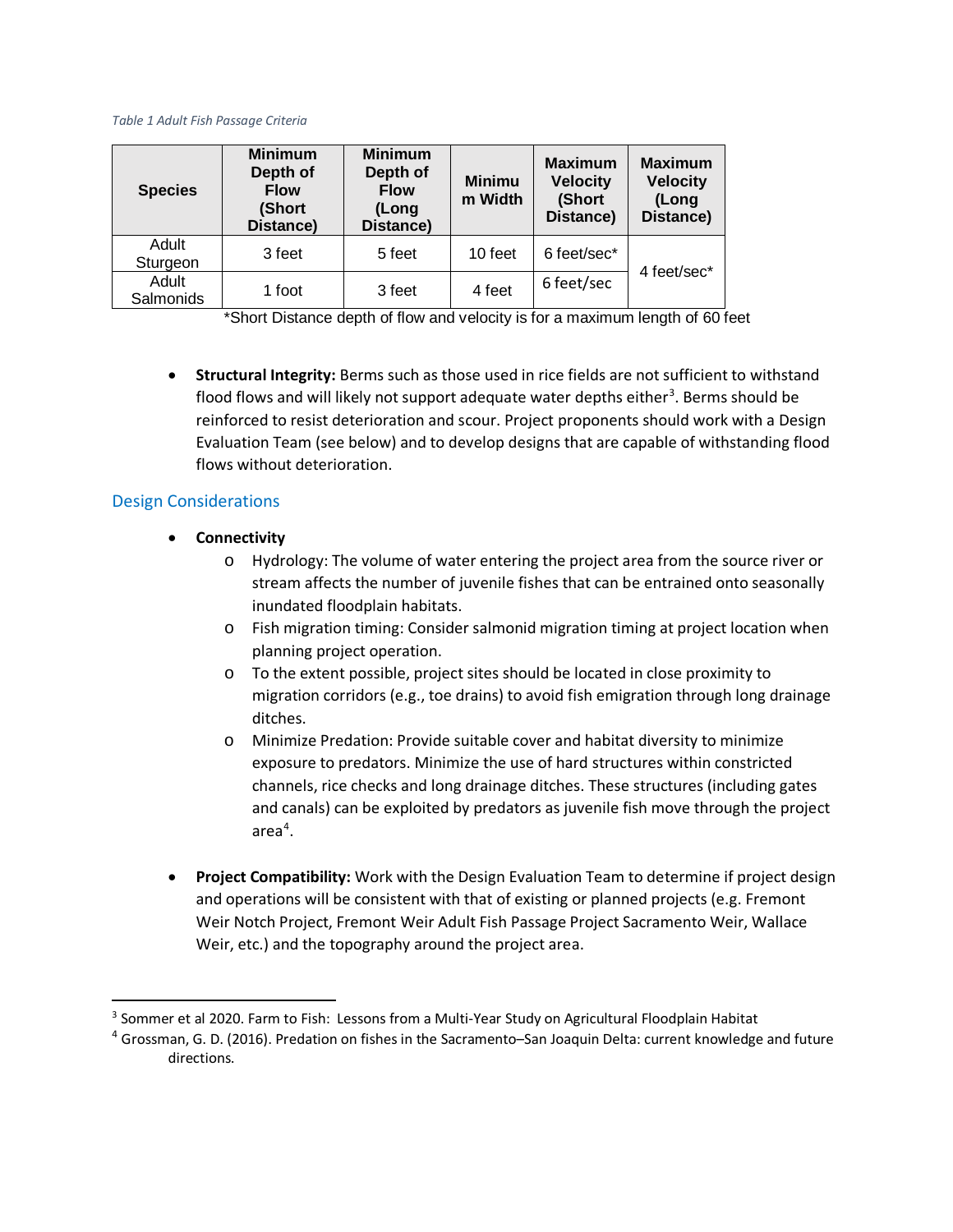#### *Table 1 Adult Fish Passage Criteria*

| <b>Species</b>     | <b>Minimum</b><br>Depth of<br><b>Flow</b><br>(Short<br>Distance) | <b>Minimum</b><br>Depth of<br><b>Flow</b><br>(Long<br>Distance) | <b>Minimu</b><br>m Width | <b>Maximum</b><br><b>Velocity</b><br>(Short<br>Distance) | <b>Maximum</b><br><b>Velocity</b><br>(Long<br>Distance) |
|--------------------|------------------------------------------------------------------|-----------------------------------------------------------------|--------------------------|----------------------------------------------------------|---------------------------------------------------------|
| Adult<br>Sturgeon  | 3 feet                                                           | 5 feet                                                          | 10 feet                  | 6 feet/sec*                                              | 4 feet/sec*                                             |
| Adult<br>Salmonids | 1 foot                                                           | 3 feet                                                          | 4 feet                   | 6 feet/sec                                               |                                                         |

\*Short Distance depth of flow and velocity is for a maximum length of 60 feet

• **Structural Integrity:** Berms such as those used in rice fields are not sufficient to withstand flood flows and will likely not support adequate water depths either<sup>[3](#page-1-0)</sup>. Berms should be reinforced to resist deterioration and scour. Project proponents should work with a Design Evaluation Team (see below) and to develop designs that are capable of withstanding flood flows without deterioration.

## Design Considerations

- **Connectivity**
	- o Hydrology: The volume of water entering the project area from the source river or stream affects the number of juvenile fishes that can be entrained onto seasonally inundated floodplain habitats.
	- o Fish migration timing: Consider salmonid migration timing at project location when planning project operation.
	- o To the extent possible, project sites should be located in close proximity to migration corridors (e.g., toe drains) to avoid fish emigration through long drainage ditches.
	- o Minimize Predation: Provide suitable cover and habitat diversity to minimize exposure to predators. Minimize the use of hard structures within constricted channels, rice checks and long drainage ditches. These structures (including gates and canals) can be exploited by predators as juvenile fish move through the project area<sup>[4](#page-1-1)</sup>.
- **Project Compatibility:** Work with the Design Evaluation Team to determine if project design and operations will be consistent with that of existing or planned projects (e.g. Fremont Weir Notch Project, Fremont Weir Adult Fish Passage Project Sacramento Weir, Wallace Weir, etc.) and the topography around the project area.

<span id="page-1-0"></span><sup>&</sup>lt;sup>3</sup> Sommer et al 2020. Farm to Fish: Lessons from a Multi-Year Study on Agricultural Floodplain Habitat

<span id="page-1-1"></span><sup>4</sup> Grossman, G. D. (2016). Predation on fishes in the Sacramento–San Joaquin Delta: current knowledge and future directions.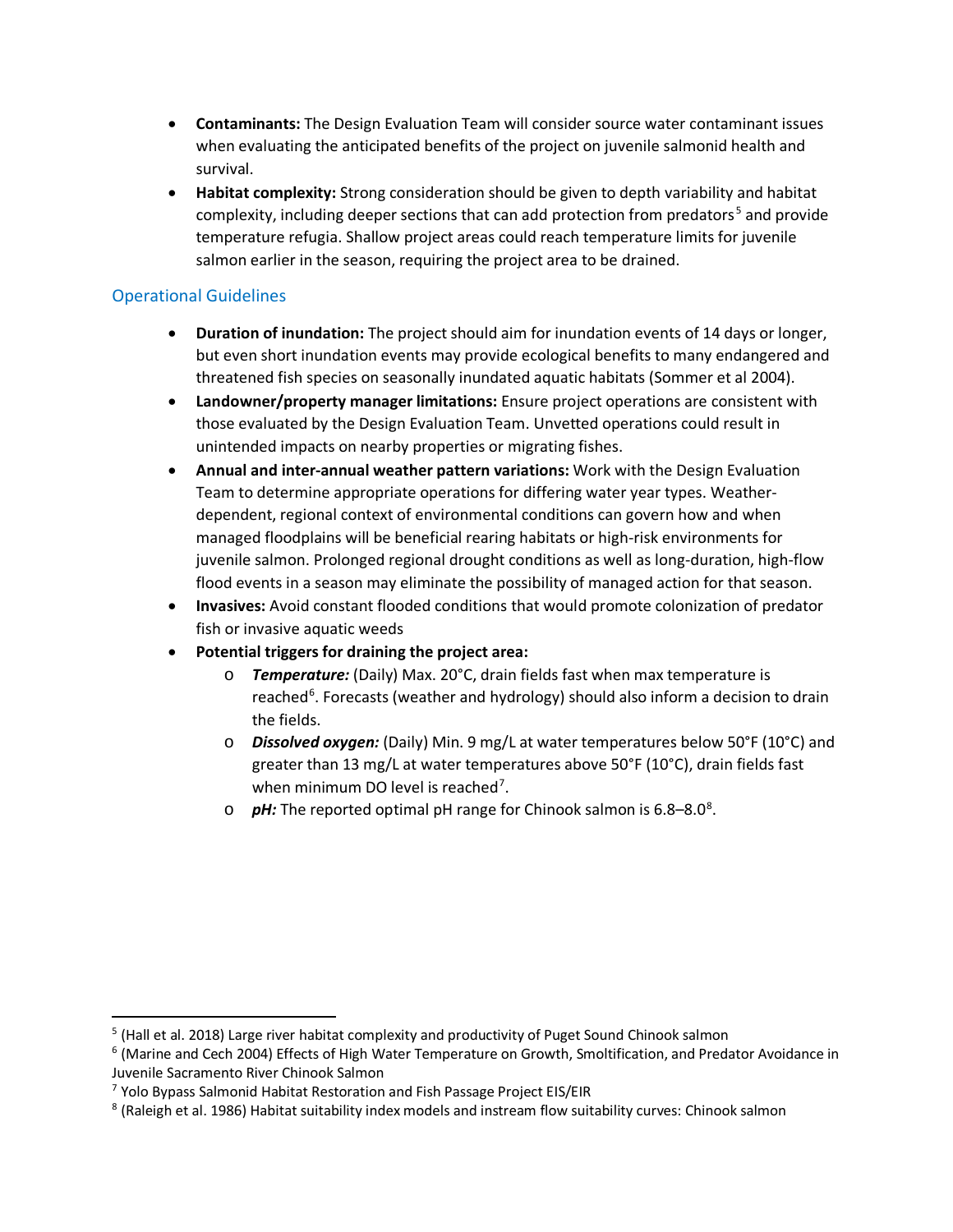- **Contaminants:** The Design Evaluation Team will consider source water contaminant issues when evaluating the anticipated benefits of the project on juvenile salmonid health and survival.
- **Habitat complexity:** Strong consideration should be given to depth variability and habitat complexity, including deeper sections that can add protection from predators<sup>[5](#page-2-0)</sup> and provide temperature refugia. Shallow project areas could reach temperature limits for juvenile salmon earlier in the season, requiring the project area to be drained.

# Operational Guidelines

- **Duration of inundation:** The project should aim for inundation events of 14 days or longer, but even short inundation events may provide ecological benefits to many endangered and threatened fish species on seasonally inundated aquatic habitats (Sommer et al 2004).
- **Landowner/property manager limitations:** Ensure project operations are consistent with those evaluated by the Design Evaluation Team. Unvetted operations could result in unintended impacts on nearby properties or migrating fishes.
- **Annual and inter-annual weather pattern variations:** Work with the Design Evaluation Team to determine appropriate operations for differing water year types. Weatherdependent, regional context of environmental conditions can govern how and when managed floodplains will be beneficial rearing habitats or high-risk environments for juvenile salmon. Prolonged regional drought conditions as well as long-duration, high-flow flood events in a season may eliminate the possibility of managed action for that season.
- **Invasives:** Avoid constant flooded conditions that would promote colonization of predator fish or invasive aquatic weeds
- **Potential triggers for draining the project area:**
	- o *Temperature:* (Daily) Max. 20°C, drain fields fast when max temperature is reached<sup>[6](#page-2-1)</sup>. Forecasts (weather and hydrology) should also inform a decision to drain the fields.
	- o *Dissolved oxygen:* (Daily) Min. 9 mg/L at water temperatures below 50°F (10°C) and greater than 13 mg/L at water temperatures above 50°F (10°C), drain fields fast when minimum DO level is reached<sup>[7](#page-2-2)</sup>.
	- o **pH:** The reported optimal pH range for Chinook salmon is 6.[8](#page-2-3)–8.0<sup>8</sup>.

<span id="page-2-0"></span><sup>&</sup>lt;sup>5</sup> (Hall et al. 2018) Large river habitat complexity and productivity of Puget Sound Chinook salmon

<span id="page-2-1"></span><sup>6</sup> (Marine and Cech 2004) Effects of High Water Temperature on Growth, Smoltification, and Predator Avoidance in Juvenile Sacramento River Chinook Salmon

<span id="page-2-2"></span><sup>7</sup> Yolo Bypass Salmonid Habitat Restoration and Fish Passage Project EIS/EIR

<span id="page-2-3"></span><sup>&</sup>lt;sup>8</sup> (Raleigh et al. 1986) Habitat suitability index models and instream flow suitability curves: Chinook salmon